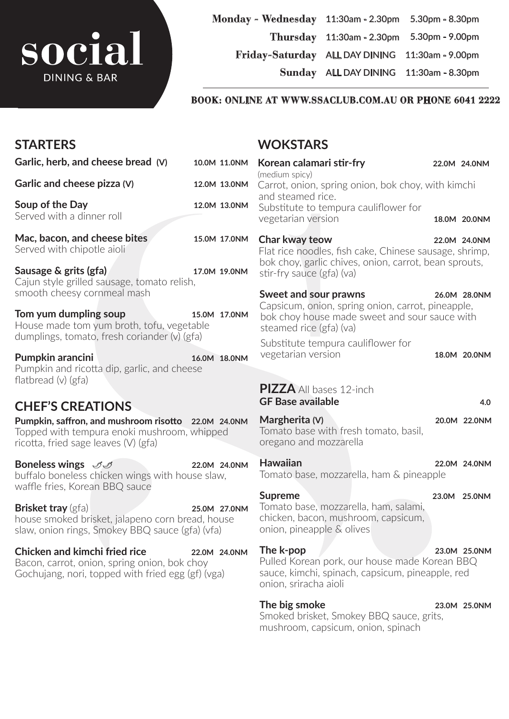# SOCI **DINING & BAR**

**Monday - Wednesday** 11:30am - 2.30pm 5.30pm - 8.30pm **Thursday** 11:30am - 2.30pm 5.30pm - 9.00pm **Friday-Saturday** ALL DAY DINING 11:30am - 9.00pm

**Sunday** ALL DAY DINING 11:30am - 8.30pm

#### **BOOK: ONLINE AT WWW.SSACLUB.COM.AU OR PHONE 6041 2222**

| <b>STARTERS</b>                                                                                                                              |              | <b>WOKSTARS</b>                                                                                                                                          |  |              |  |
|----------------------------------------------------------------------------------------------------------------------------------------------|--------------|----------------------------------------------------------------------------------------------------------------------------------------------------------|--|--------------|--|
| Garlic, herb, and cheese bread (V)                                                                                                           | 10.0M 11.0NM | Korean calamari stir-fry                                                                                                                                 |  | 22.0M 24.0NM |  |
| Garlic and cheese pizza (V)                                                                                                                  | 12.0M 13.0NM | (medium spicy)<br>Carrot, onion, spring onion, bok choy, with kimchi<br>and steamed rice.<br>Substitute to tempura cauliflower for<br>vegetarian version |  |              |  |
| Soup of the Day<br>Served with a dinner roll                                                                                                 | 12.0M 13.0NM |                                                                                                                                                          |  | 18.0M 20.0NM |  |
| Mac, bacon, and cheese bites<br>Served with chipotle aioli                                                                                   | 15.0M 17.0NM | Char kway teow<br>Flat rice noodles, fish cake, Chinese sausage, shrimp,                                                                                 |  | 22.0M 24.0NM |  |
| Sausage & grits (gfa)<br>Cajun style grilled sausage, tomato relish,                                                                         | 17.0M 19.0NM | bok choy, garlic chives, onion, carrot, bean sprouts,<br>stir-fry sauce (gfa) (va)                                                                       |  |              |  |
| smooth cheesy cornmeal mash<br>Tom yum dumpling soup<br>House made tom yum broth, tofu, vegetable                                            | 15.0M 17.0NM | Sweet and sour prawns<br>Capsicum, onion, spring onion, carrot, pineapple,<br>bok choy house made sweet and sour sauce with<br>steamed rice (gfa) (va)   |  | 26.0M 28.0NM |  |
| dumplings, tomato, fresh coriander (v) (gfa)<br>Pumpkin arancini                                                                             | 16.0M 18.0NM | Substitute tempura cauliflower for<br>vegetarian version                                                                                                 |  | 18.0M 20.0NM |  |
| Pumpkin and ricotta dip, garlic, and cheese<br>flatbread $(v)$ (gfa)                                                                         |              | <b>PIZZA</b> All bases 12-inch<br><b>GF Base available</b>                                                                                               |  | 4.0          |  |
| <b>CHEF'S CREATIONS</b>                                                                                                                      |              |                                                                                                                                                          |  |              |  |
| Pumpkin, saffron, and mushroom risotto 22.0M 24.0NM<br>Topped with tempura enoki mushroom, whipped<br>ricotta, fried sage leaves $(V)$ (gfa) |              | Margherita (V)<br>Tomato base with fresh tomato, basil,<br>oregano and mozzarella                                                                        |  | 20.0M 22.0NM |  |
| Boneless wings $\mathscr{I}\mathscr{I}$<br>buffalo boneless chicken wings with house slaw,<br>waffle fries, Korean BBQ sauce                 | 22.0M 24.0NM | <b>Hawaiian</b><br>Tomato base, mozzarella, ham & pineapple                                                                                              |  | 22.0M 24.0NM |  |
|                                                                                                                                              |              | <b>Supreme</b>                                                                                                                                           |  | 23.0M 25.0NM |  |
| <b>Brisket tray</b> (gfa)<br>house smoked brisket, jalapeno corn bread, house<br>slaw, onion rings, Smokey BBQ sauce (gfa) (vfa)             | 25.0M 27.0NM | Tomato base, mozzarella, ham, salami,<br>chicken, bacon, mushroom, capsicum,<br>onion, pineapple & olives                                                |  |              |  |
| <b>Chicken and kimchi fried rice</b><br>Bacon, carrot, onion, spring onion, bok choy<br>Gochujang, nori, topped with fried egg (gf) (vga)    | 22.0M 24.0NM | The k-pop<br>Pulled Korean pork, our house made Korean BBQ<br>sauce, kimchi, spinach, capsicum, pineapple, red<br>onion, sriracha aioli                  |  | 23.0M 25.0NM |  |
|                                                                                                                                              |              | The big smoke<br>Smoked brisket, Smokey BBQ sauce, grits,                                                                                                |  | 23.0M 25.0NM |  |

sauce, grits, mushroom, capsicum, onion, spinach